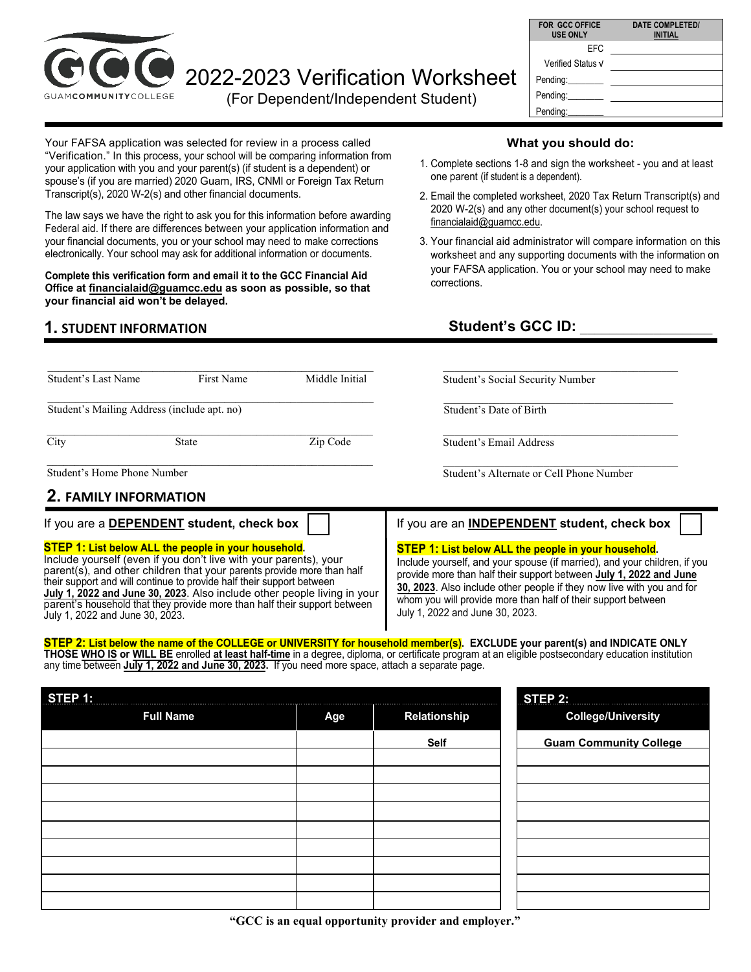

# 2022-2023 Verification Worksheet

(For Dependent/Independent Student)

| <b>DATE COMPLETED/</b><br><b>INITIAL</b> |
|------------------------------------------|
|                                          |
|                                          |
|                                          |
|                                          |
|                                          |
|                                          |

Your FAFSA application was selected for review in a process called "Verification." In this process, your school will be comparing information from your application with you and your parent(s) (if student is a dependent) or spouse's (if you are married) 2020 Guam, IRS, CNMI or Foreign Tax Return Transcript(s), 2020 W-2(s) and other financial documents.

The law says we have the right to ask you for this information before awarding Federal aid. If there are differences between your application information and your financial documents, you or your school may need to make corrections electronically. Your school may ask for additional information or documents.

**Complete this verification form and email it to the GCC Financial Aid Office at financialaid@guamcc.edu as soon as possible, so that your financial aid won't be delayed.**

\_\_\_\_\_\_\_\_\_\_\_\_\_\_\_\_\_\_\_\_\_\_\_\_\_\_\_\_\_\_\_\_\_\_\_\_\_\_\_\_\_\_\_\_\_\_\_\_\_\_\_\_\_\_\_\_\_\_\_ City State Zip Code

\_\_\_\_\_\_\_\_\_\_\_\_\_\_\_\_\_\_\_\_\_\_\_\_\_\_\_\_\_\_\_\_\_\_\_\_\_\_\_\_\_\_\_\_\_\_\_\_\_\_\_\_\_\_\_\_\_\_\_

\_\_\_\_\_\_\_\_\_\_\_\_\_\_\_\_\_\_\_\_\_\_\_\_\_\_\_\_\_\_\_\_\_\_\_\_\_\_\_\_\_\_\_\_\_\_\_\_\_\_\_\_\_\_\_\_\_\_\_ Student's Last Name First Name Middle Initial

### **1. STUDENT INFORMATION**

Student's Mailing Address (include apt. no)

| What you should do: |  |
|---------------------|--|
|---------------------|--|

- 1. Complete sections 1-8 and sign the worksheet you and at least one parent (if student is a dependent).
- 2. Email the completed worksheet, 2020 Tax Return Transcript(s) and 2020 W-2(s) and any other document(s) your school request to financialaid@guamcc.edu.
- 3. Your financial aid administrator will compare information on this worksheet and any supporting documents with the information on your FAFSA application. You or your school may need to make corrections.

# Student's GCC ID:

\_\_\_\_\_\_\_\_\_\_\_\_\_\_\_\_\_\_\_\_\_\_\_\_\_\_\_\_\_\_\_\_\_\_\_\_\_\_\_\_\_\_ Student's Social Security Number

 $\mathcal{L}_\text{max}$  , and the set of the set of the set of the set of the set of the set of the set of the set of the set of the set of the set of the set of the set of the set of the set of the set of the set of the set of the Student's Date of Birth

\_\_\_\_\_\_\_\_\_\_\_\_\_\_\_\_\_\_\_\_\_\_\_\_\_\_\_\_\_\_\_\_\_\_\_\_\_\_\_\_\_\_ Student's Email Address

\_\_\_\_\_\_\_\_\_\_\_\_\_\_\_\_\_\_\_\_\_\_\_\_\_\_\_\_\_\_\_\_\_\_\_\_\_\_\_\_\_\_ Student's Alternate or Cell Phone Number

## **2. FAMILY INFORMATION**

Student's Home Phone Number

#### **STEP 1: List below ALL the people in your household.**

Include yourself (even if you don't live with your parents), your parent(s), and other children that your parents provide more than half their support and will continue to provide half their support between **July 1, 2022 and June 30, 2023**. Also include other people living in your parent's household that they provide more than half their support between July 1, 2022 and June 30, 2023.

#### If you are a **DEPENDENT** student, check box  $\vert \cdot \vert$  **i** If you are an **INDEPENDENT** student, check box

#### **STEP 1: List below ALL the people in your household.**

Include yourself, and your spouse (if married), and your children, if you provide more than half their support between **July 1, 2022 and June 30, 2023**. Also include other people if they now live with you and for whom you will provide more than half of their support between July 1, 2022 and June 30, 2023.

#### **STEP 2: List below the name of the COLLEGE or UNIVERSITY for household member(s). EXCLUDE your parent(s) and INDICATE ONLY THOSE WHO IS or WILL BE** enrolled **at least half-time** in a degree, diploma, or certificate program at an eligible postsecondary education institution

any time between **July 1, 2022 and June 30, 2023.** If you need more space, attach a separate page.

| STEP 1: |                  |     |              | $STEP$ 2:                     |
|---------|------------------|-----|--------------|-------------------------------|
|         | <b>Full Name</b> | Age | Relationship | <b>College/University</b>     |
|         |                  |     | Self         | <b>Guam Community College</b> |
|         |                  |     |              |                               |
|         |                  |     |              |                               |
|         |                  |     |              |                               |
|         |                  |     |              |                               |
|         |                  |     |              |                               |
|         |                  |     |              |                               |
|         |                  |     |              |                               |
|         |                  |     |              |                               |
|         |                  |     |              |                               |